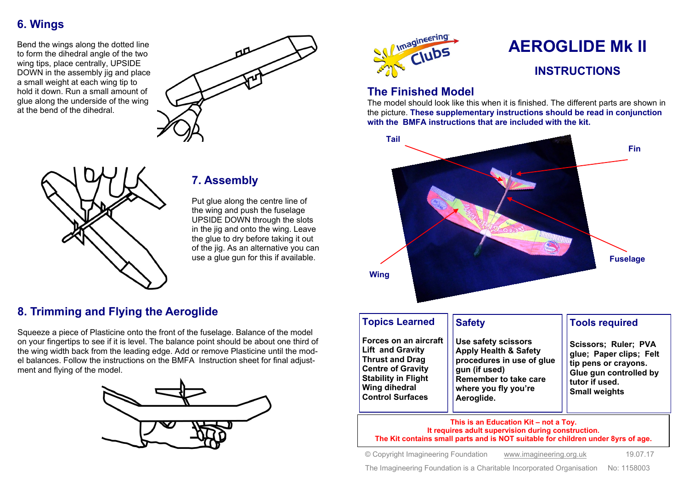## **6. Wings**

Bend the wings along the dotted line to form the dihedral angle of the two wing tips, place centrally, UPSIDE DOWN in the assembly ijg and place a small weight at each wing tip to hold it down. Run a small amount of glue along the underside of the wing at the bend of the dihedral.





# **7. Assembly**

Put glue along the centre line of the wing and push the fuselage UPSIDE DOWN through the slots in the jig and onto the wing. Leave the glue to dry before taking it out of the jig. As an alternative you can use a glue gun for this if available.

#### **8. Trimming and Flying the Aeroglide**

Squeeze a piece of Plasticine onto the front of the fuselage. Balance of the model on your fingertips to see if it is level. The balance point should be about one third of the wing width back from the leading edge. Add or remove Plasticine until the model balances. Follow the instructions on the BMFA Instruction sheet for final adjustment and flying of the model.





# **AEROGLIDE Mk II**

**tutor if used. Small weights**

### **INSTRUCTIONS**

#### **The Finished Model**

**Stability in Flight Wing dihedral Control Surfaces**

The model should look like this when it is finished. The different parts are shown in the picture. **These supplementary instructions should be read in conjunction with the BMFA instructions that are included with the kit.**



**This is an Education Kit – not a Toy. It requires adult supervision during construction. The Kit contains small parts and is NOT suitable for children under 8yrs of age.**

**Remember to take care where you fly you're** 

© Copyright Imagineering Foundation [www.imagineering.org.uk](http://www.imagineering.org.uk) 19.07.17

**Aeroglide.**

The Imagineering Foundation is a Charitable Incorporated Organisation No: 1158003